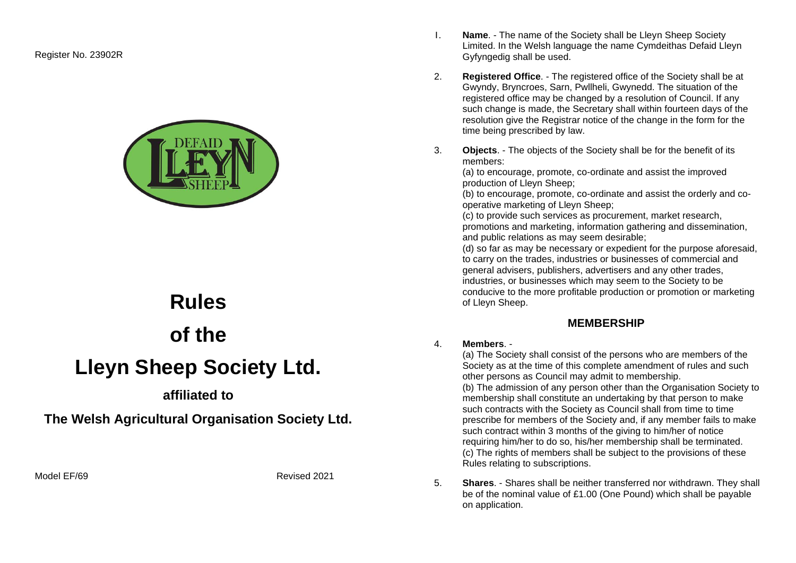Register No. 23902R



# **Rules of the Lleyn Sheep Society Ltd.**

## **affiliated to**

**The Welsh Agricultural Organisation Society Ltd.** 

Model FF/69 Revised 2021

- 1. **Name**. The name of the Society shall be Lleyn Sheep Society Limited. In the Welsh language the name Cymdeithas Defaid Lleyn Gyfyngedig shall be used.
- 2. **Registered Office**. The registered office of the Society shall be at Gwyndy, Bryncroes, Sarn, Pwllheli, Gwynedd. The situation of the registered office may be changed by a resolution of Council. If any such change is made, the Secretary shall within fourteen days of the resolution give the Registrar notice of the change in the form for the time being prescribed by law.
- 3. **Objects**. The objects of the Society shall be for the benefit of its members:

(a) to encourage, promote, co-ordinate and assist the improved production of Lleyn Sheep;

(b) to encourage, promote, co-ordinate and assist the orderly and cooperative marketing of Lleyn Sheep;

(c) to provide such services as procurement, market research, promotions and marketing, information gathering and dissemination, and public relations as may seem desirable;

(d) so far as may be necessary or expedient for the purpose aforesaid, to carry on the trades, industries or businesses of commercial and general advisers, publishers, advertisers and any other trades, industries, or businesses which may seem to the Society to be conducive to the more profitable production or promotion or marketing of Lleyn Sheep.

## **MEMBERSHIP**

#### 4. **Members**. -

(a) The Society shall consist of the persons who are members of the Society as at the time of this complete amendment of rules and such other persons as Council may admit to membership. (b) The admission of any person other than the Organisation Society to membership shall constitute an undertaking by that person to make such contracts with the Society as Council shall from time to time prescribe for members of the Society and, if any member fails to make such contract within 3 months of the giving to him/her of notice requiring him/her to do so, his/her membership shall be terminated. (c) The rights of members shall be subject to the provisions of these Rules relating to subscriptions.

5. **Shares**. - Shares shall be neither transferred nor withdrawn. They shall be of the nominal value of £1.00 (One Pound) which shall be payable on application.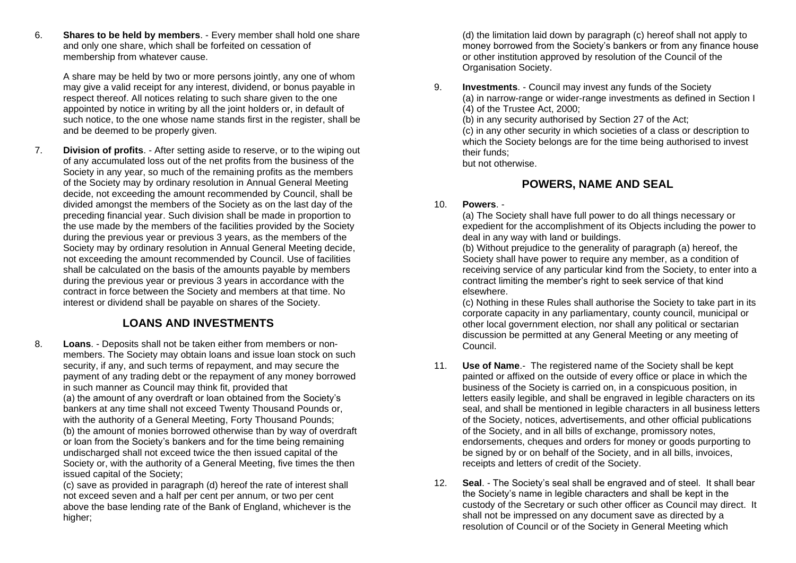6. **Shares to be held by members**. - Every member shall hold one share and only one share, which shall be forfeited on cessation of membership from whatever cause.

A share may be held by two or more persons jointly, any one of whom may give a valid receipt for any interest, dividend, or bonus payable in respect thereof. All notices relating to such share given to the one appointed by notice in writing by all the joint holders or, in default of such notice, to the one whose name stands first in the register, shall be and be deemed to be properly given.

7. **Division of profits**. - After setting aside to reserve, or to the wiping out of any accumulated loss out of the net profits from the business of the Society in any year, so much of the remaining profits as the members of the Society may by ordinary resolution in Annual General Meeting decide, not exceeding the amount recommended by Council, shall be divided amongst the members of the Society as on the last day of the preceding financial year. Such division shall be made in proportion to the use made by the members of the facilities provided by the Society during the previous year or previous 3 years, as the members of the Society may by ordinary resolution in Annual General Meeting decide, not exceeding the amount recommended by Council. Use of facilities shall be calculated on the basis of the amounts payable by members during the previous year or previous 3 years in accordance with the contract in force between the Society and members at that time. No interest or dividend shall be payable on shares of the Society.

## **LOANS AND INVESTMENTS**

8. **Loans**. - Deposits shall not be taken either from members or nonmembers. The Society may obtain loans and issue loan stock on such security, if any, and such terms of repayment, and may secure the payment of any trading debt or the repayment of any money borrowed in such manner as Council may think fit, provided that (a) the amount of any overdraft or loan obtained from the Society's bankers at any time shall not exceed Twenty Thousand Pounds or, with the authority of a General Meeting, Forty Thousand Pounds; (b) the amount of monies borrowed otherwise than by way of overdraft or loan from the Society's bankers and for the time being remaining undischarged shall not exceed twice the then issued capital of the Society or, with the authority of a General Meeting, five times the then issued capital of the Society;

(c) save as provided in paragraph (d) hereof the rate of interest shall not exceed seven and a half per cent per annum, or two per cent above the base lending rate of the Bank of England, whichever is the higher;

(d) the limitation laid down by paragraph (c) hereof shall not apply to money borrowed from the Society's bankers or from any finance house or other institution approved by resolution of the Council of the Organisation Society.

9. **Investments**. - Council may invest any funds of the Society (a) in narrow-range or wider-range investments as defined in Section I (4) of the Trustee Act, 2000; (b) in any security authorised by Section 27 of the Act;

(c) in any other security in which societies of a class or description to which the Society belongs are for the time being authorised to invest their funds;

but not otherwise.

## **POWERS, NAME AND SEAL**

#### 10. **Powers**. -

(a) The Society shall have full power to do all things necessary or expedient for the accomplishment of its Objects including the power to deal in any way with land or buildings.

(b) Without prejudice to the generality of paragraph (a) hereof, the Society shall have power to require any member, as a condition of receiving service of any particular kind from the Society, to enter into a contract limiting the member's right to seek service of that kind elsewhere.

(c) Nothing in these Rules shall authorise the Society to take part in its corporate capacity in any parliamentary, county council, municipal or other local government election, nor shall any political or sectarian discussion be permitted at any General Meeting or any meeting of Council.

- 11. **Use of Name**.- The registered name of the Society shall be kept painted or affixed on the outside of every office or place in which the business of the Society is carried on, in a conspicuous position, in letters easily legible, and shall be engraved in legible characters on its seal, and shall be mentioned in legible characters in all business letters of the Society, notices, advertisements, and other official publications of the Society, and in all bills of exchange, promissory notes, endorsements, cheques and orders for money or goods purporting to be signed by or on behalf of the Society, and in all bills, invoices, receipts and letters of credit of the Society.
- 12. **Seal**. The Society's seal shall be engraved and of steel. It shall bear the Society's name in legible characters and shall be kept in the custody of the Secretary or such other officer as Council may direct. It shall not be impressed on any document save as directed by a resolution of Council or of the Society in General Meeting which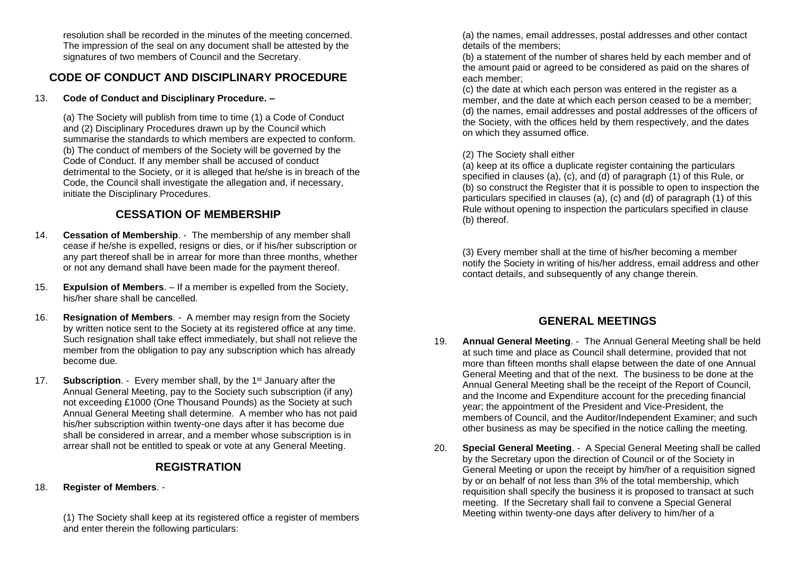resolution shall be recorded in the minutes of the meeting concerned. The impression of the seal on any document shall be attested by the signatures of two members of Council and the Secretary.

## **CODE OF CONDUCT AND DISCIPLINARY PROCEDURE**

#### 13. **Code of Conduct and Disciplinary Procedure. –**

(a) The Society will publish from time to time (1) a Code of Conduct and (2) Disciplinary Procedures drawn up by the Council which summarise the standards to which members are expected to conform. (b) The conduct of members of the Society will be governed by the Code of Conduct. If any member shall be accused of conduct detrimental to the Society, or it is alleged that he/she is in breach of the Code, the Council shall investigate the allegation and, if necessary, initiate the Disciplinary Procedures.

## **CESSATION OF MEMBERSHIP**

- 14. **Cessation of Membership**. The membership of any member shall cease if he/she is expelled, resigns or dies, or if his/her subscription or any part thereof shall be in arrear for more than three months, whether or not any demand shall have been made for the payment thereof.
- 15. **Expulsion of Members**. If a member is expelled from the Society, his/her share shall be cancelled.
- 16. **Resignation of Members**. A member may resign from the Society by written notice sent to the Society at its registered office at any time. Such resignation shall take effect immediately, but shall not relieve the member from the obligation to pay any subscription which has already become due.
- 17. **Subscription**. Every member shall, by the 1st January after the Annual General Meeting, pay to the Society such subscription (if any) not exceeding £1000 (One Thousand Pounds) as the Society at such Annual General Meeting shall determine. A member who has not paid his/her subscription within twenty-one days after it has become due shall be considered in arrear, and a member whose subscription is in arrear shall not be entitled to speak or vote at any General Meeting.

## **REGISTRATION**

#### 18. **Register of Members**. -

(1) The Society shall keep at its registered office a register of members and enter therein the following particulars:

(a) the names, email addresses, postal addresses and other contact details of the members;

(b) a statement of the number of shares held by each member and of the amount paid or agreed to be considered as paid on the shares of each member;

(c) the date at which each person was entered in the register as a member, and the date at which each person ceased to be a member; (d) the names, email addresses and postal addresses of the officers of the Society, with the offices held by them respectively, and the dates on which they assumed office.

#### (2) The Society shall either

(a) keep at its office a duplicate register containing the particulars specified in clauses (a), (c), and (d) of paragraph (1) of this Rule, or (b) so construct the Register that it is possible to open to inspection the particulars specified in clauses (a), (c) and (d) of paragraph (1) of this Rule without opening to inspection the particulars specified in clause (b) thereof.

(3) Every member shall at the time of his/her becoming a member notify the Society in writing of his/her address, email address and other contact details, and subsequently of any change therein.

## **GENERAL MEETINGS**

- 19. **Annual General Meeting**. The Annual General Meeting shall be held at such time and place as Council shall determine, provided that not more than fifteen months shall elapse between the date of one Annual General Meeting and that of the next. The business to be done at the Annual General Meeting shall be the receipt of the Report of Council, and the Income and Expenditure account for the preceding financial year; the appointment of the President and Vice-President, the members of Council, and the Auditor/Independent Examiner; and such other business as may be specified in the notice calling the meeting.
- 20. **Special General Meeting**. A Special General Meeting shall be called by the Secretary upon the direction of Council or of the Society in General Meeting or upon the receipt by him/her of a requisition signed by or on behalf of not less than 3% of the total membership, which requisition shall specify the business it is proposed to transact at such meeting. If the Secretary shall fail to convene a Special General Meeting within twenty-one days after delivery to him/her of a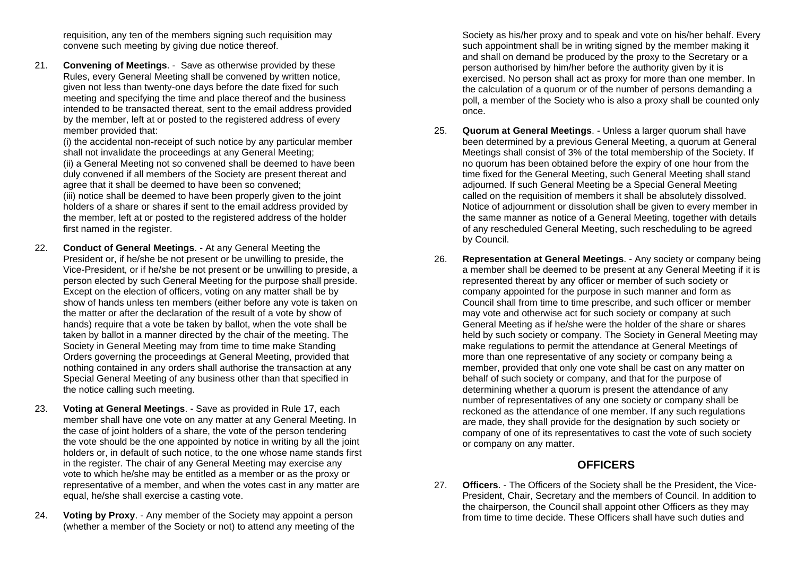requisition, any ten of the members signing such requisition may convene such meeting by giving due notice thereof.

21. **Convening of Meetings**. - Save as otherwise provided by these Rules, every General Meeting shall be convened by written notice, given not less than twenty-one days before the date fixed for such meeting and specifying the time and place thereof and the business intended to be transacted thereat, sent to the email address provided by the member, left at or posted to the registered address of every member provided that:

(i) the accidental non-receipt of such notice by any particular member shall not invalidate the proceedings at any General Meeting;

(ii) a General Meeting not so convened shall be deemed to have been duly convened if all members of the Society are present thereat and agree that it shall be deemed to have been so convened;

(iii) notice shall be deemed to have been properly given to the joint holders of a share or shares if sent to the email address provided by the member, left at or posted to the registered address of the holder first named in the register.

- 22. **Conduct of General Meetings**. At any General Meeting the President or, if he/she be not present or be unwilling to preside, the Vice-President, or if he/she be not present or be unwilling to preside, a person elected by such General Meeting for the purpose shall preside. Except on the election of officers, voting on any matter shall be by show of hands unless ten members (either before any vote is taken on the matter or after the declaration of the result of a vote by show of hands) require that a vote be taken by ballot, when the vote shall be taken by ballot in a manner directed by the chair of the meeting. The Society in General Meeting may from time to time make Standing Orders governing the proceedings at General Meeting, provided that nothing contained in any orders shall authorise the transaction at any Special General Meeting of any business other than that specified in the notice calling such meeting.
- 23. **Voting at General Meetings**. Save as provided in Rule 17, each member shall have one vote on any matter at any General Meeting. In the case of joint holders of a share, the vote of the person tendering the vote should be the one appointed by notice in writing by all the joint holders or, in default of such notice, to the one whose name stands first in the register. The chair of any General Meeting may exercise any vote to which he/she may be entitled as a member or as the proxy or representative of a member, and when the votes cast in any matter are equal, he/she shall exercise a casting vote.
- 24. **Voting by Proxy**. Any member of the Society may appoint a person (whether a member of the Society or not) to attend any meeting of the

Society as his/her proxy and to speak and vote on his/her behalf. Every such appointment shall be in writing signed by the member making it and shall on demand be produced by the proxy to the Secretary or a person authorised by him/her before the authority given by it is exercised. No person shall act as proxy for more than one member. In the calculation of a quorum or of the number of persons demanding a poll, a member of the Society who is also a proxy shall be counted only once.

- 25. **Quorum at General Meetings**. Unless a larger quorum shall have been determined by a previous General Meeting, a quorum at General Meetings shall consist of 3% of the total membership of the Society. If no quorum has been obtained before the expiry of one hour from the time fixed for the General Meeting, such General Meeting shall stand adjourned. If such General Meeting be a Special General Meeting called on the requisition of members it shall be absolutely dissolved. Notice of adjournment or dissolution shall be given to every member in the same manner as notice of a General Meeting, together with details of any rescheduled General Meeting, such rescheduling to be agreed by Council.
- 26. **Representation at General Meetings**. Any society or company being a member shall be deemed to be present at any General Meeting if it is represented thereat by any officer or member of such society or company appointed for the purpose in such manner and form as Council shall from time to time prescribe, and such officer or member may vote and otherwise act for such society or company at such General Meeting as if he/she were the holder of the share or shares held by such society or company. The Society in General Meeting may make regulations to permit the attendance at General Meetings of more than one representative of any society or company being a member, provided that only one vote shall be cast on any matter on behalf of such society or company, and that for the purpose of determining whether a quorum is present the attendance of any number of representatives of any one society or company shall be reckoned as the attendance of one member. If any such regulations are made, they shall provide for the designation by such society or company of one of its representatives to cast the vote of such society or company on any matter.

## **OFFICERS**

27. **Officers**. - The Officers of the Society shall be the President, the Vice-President, Chair, Secretary and the members of Council. In addition to the chairperson, the Council shall appoint other Officers as they may from time to time decide. These Officers shall have such duties and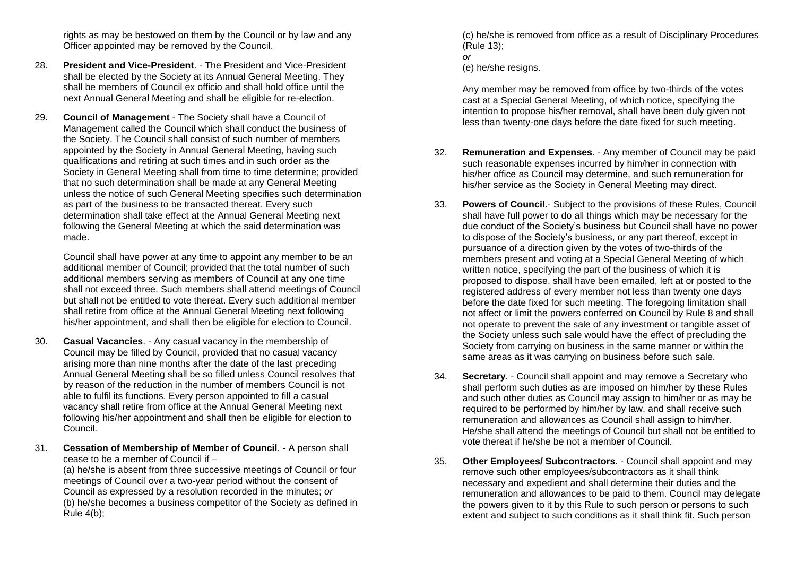rights as may be bestowed on them by the Council or by law and any Officer appointed may be removed by the Council.

- 28. **President and Vice-President** The President and Vice-President shall be elected by the Society at its Annual General Meeting. They shall be members of Council ex officio and shall hold office until the next Annual General Meeting and shall be eligible for re-election.
- 29. **Council of Management**  The Society shall have a Council of Management called the Council which shall conduct the business of the Society. The Council shall consist of such number of members appointed by the Society in Annual General Meeting, having such qualifications and retiring at such times and in such order as the Society in General Meeting shall from time to time determine; provided that no such determination shall be made at any General Meeting unless the notice of such General Meeting specifies such determination as part of the business to be transacted thereat. Every such determination shall take effect at the Annual General Meeting next following the General Meeting at which the said determination was made.

Council shall have power at any time to appoint any member to be an additional member of Council; provided that the total number of such additional members serving as members of Council at any one time shall not exceed three. Such members shall attend meetings of Council but shall not be entitled to vote thereat. Every such additional member shall retire from office at the Annual General Meeting next following his/her appointment, and shall then be eligible for election to Council.

- 30. **Casual Vacancies**. Any casual vacancy in the membership of Council may be filled by Council, provided that no casual vacancy arising more than nine months after the date of the last preceding Annual General Meeting shall be so filled unless Council resolves that by reason of the reduction in the number of members Council is not able to fulfil its functions. Every person appointed to fill a casual vacancy shall retire from office at the Annual General Meeting next following his/her appointment and shall then be eligible for election to Council.
- 31. **Cessation of Membership of Member of Council**. A person shall cease to be a member of Council if –

(a) he/she is absent from three successive meetings of Council or four meetings of Council over a two-year period without the consent of Council as expressed by a resolution recorded in the minutes; *or* (b) he/she becomes a business competitor of the Society as defined in Rule 4(b);

(c) he/she is removed from office as a result of Disciplinary Procedures (Rule 13);

```
or
```
(e) he/she resigns.

Any member may be removed from office by two-thirds of the votes cast at a Special General Meeting, of which notice, specifying the intention to propose his/her removal, shall have been duly given not less than twenty-one days before the date fixed for such meeting.

- 32. **Remuneration and Expenses**. Any member of Council may be paid such reasonable expenses incurred by him/her in connection with his/her office as Council may determine, and such remuneration for his/her service as the Society in General Meeting may direct.
- 33. **Powers of Council**.- Subject to the provisions of these Rules, Council shall have full power to do all things which may be necessary for the due conduct of the Society's business but Council shall have no power to dispose of the Society's business, or any part thereof, except in pursuance of a direction given by the votes of two-thirds of the members present and voting at a Special General Meeting of which written notice, specifying the part of the business of which it is proposed to dispose, shall have been emailed, left at or posted to the registered address of every member not less than twenty one days before the date fixed for such meeting. The foregoing limitation shall not affect or limit the powers conferred on Council by Rule 8 and shall not operate to prevent the sale of any investment or tangible asset of the Society unless such sale would have the effect of precluding the Society from carrying on business in the same manner or within the same areas as it was carrying on business before such sale.
- 34. **Secretary**. Council shall appoint and may remove a Secretary who shall perform such duties as are imposed on him/her by these Rules and such other duties as Council may assign to him/her or as may be required to be performed by him/her by law, and shall receive such remuneration and allowances as Council shall assign to him/her. He/she shall attend the meetings of Council but shall not be entitled to vote thereat if he/she be not a member of Council.
- 35. **Other Employees/ Subcontractors**. Council shall appoint and may remove such other employees/subcontractors as it shall think necessary and expedient and shall determine their duties and the remuneration and allowances to be paid to them. Council may delegate the powers given to it by this Rule to such person or persons to such extent and subject to such conditions as it shall think fit. Such person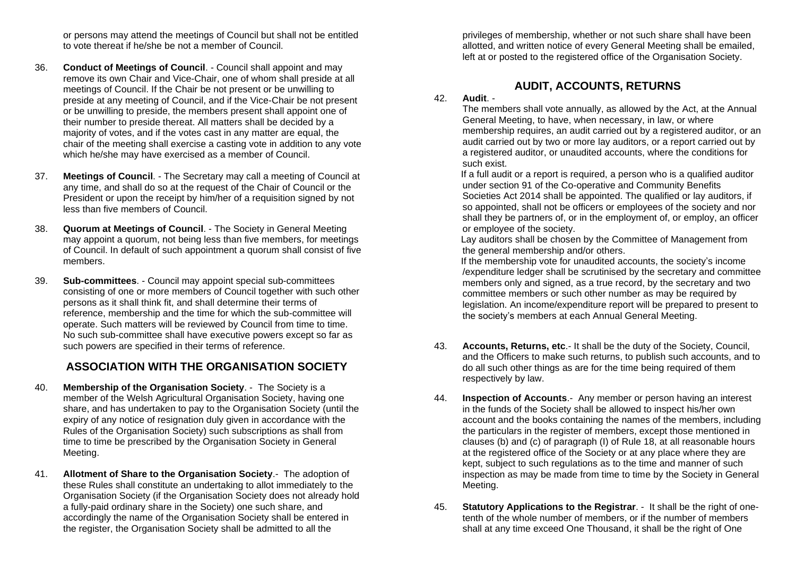or persons may attend the meetings of Council but shall not be entitled to vote thereat if he/she be not a member of Council.

- 36. **Conduct of Meetings of Council**. Council shall appoint and may remove its own Chair and Vice-Chair, one of whom shall preside at all meetings of Council. If the Chair be not present or be unwilling to preside at any meeting of Council, and if the Vice-Chair be not present or be unwilling to preside, the members present shall appoint one of their number to preside thereat. All matters shall be decided by a majority of votes, and if the votes cast in any matter are equal, the chair of the meeting shall exercise a casting vote in addition to any vote which he/she may have exercised as a member of Council.
- 37. **Meetings of Council**. The Secretary may call a meeting of Council at any time, and shall do so at the request of the Chair of Council or the President or upon the receipt by him/her of a requisition signed by not less than five members of Council.
- 38. **Quorum at Meetings of Council**. The Society in General Meeting may appoint a quorum, not being less than five members, for meetings of Council. In default of such appointment a quorum shall consist of five members.
- 39. **Sub-committees**. Council may appoint special sub-committees consisting of one or more members of Council together with such other persons as it shall think fit, and shall determine their terms of reference, membership and the time for which the sub-committee will operate. Such matters will be reviewed by Council from time to time. No such sub-committee shall have executive powers except so far as such powers are specified in their terms of reference.

## **ASSOCIATION WITH THE ORGANISATION SOCIETY**

- 40. **Membership of the Organisation Society**. The Society is a member of the Welsh Agricultural Organisation Society, having one share, and has undertaken to pay to the Organisation Society (until the expiry of any notice of resignation duly given in accordance with the Rules of the Organisation Society) such subscriptions as shall from time to time be prescribed by the Organisation Society in General Meeting.
- 41. **Allotment of Share to the Organisation Society**.- The adoption of these Rules shall constitute an undertaking to allot immediately to the Organisation Society (if the Organisation Society does not already hold a fully-paid ordinary share in the Society) one such share, and accordingly the name of the Organisation Society shall be entered in the register, the Organisation Society shall be admitted to all the

privileges of membership, whether or not such share shall have been allotted, and written notice of every General Meeting shall be emailed, left at or posted to the registered office of the Organisation Society.

## **AUDIT, ACCOUNTS, RETURNS**

#### 42. **Audit**. -

The members shall vote annually, as allowed by the Act, at the Annual General Meeting, to have, when necessary, in law, or where membership requires, an audit carried out by a registered auditor, or an audit carried out by two or more lay auditors, or a report carried out by a registered auditor, or unaudited accounts, where the conditions for such exist.

If a full audit or a report is required, a person who is a qualified auditor under section 91 of the Co-operative and Community Benefits Societies Act 2014 shall be appointed. The qualified or lay auditors, if so appointed, shall not be officers or employees of the society and nor shall they be partners of, or in the employment of, or employ, an officer or employee of the society.

Lay auditors shall be chosen by the Committee of Management from the general membership and/or others.

If the membership vote for unaudited accounts, the society's income /expenditure ledger shall be scrutinised by the secretary and committee members only and signed, as a true record, by the secretary and two committee members or such other number as may be required by legislation. An income/expenditure report will be prepared to present to the society's members at each Annual General Meeting.

- 43. **Accounts, Returns, etc**.- It shall be the duty of the Society, Council, and the Officers to make such returns, to publish such accounts, and to do all such other things as are for the time being required of them respectively by law.
- 44. **Inspection of Accounts**.- Any member or person having an interest in the funds of the Society shall be allowed to inspect his/her own account and the books containing the names of the members, including the particulars in the register of members, except those mentioned in clauses (b) and (c) of paragraph (I) of Rule 18, at all reasonable hours at the registered office of the Society or at any place where they are kept, subject to such regulations as to the time and manner of such inspection as may be made from time to time by the Society in General Meeting.
- 45. **Statutory Applications to the Registrar**. It shall be the right of onetenth of the whole number of members, or if the number of members shall at any time exceed One Thousand, it shall be the right of One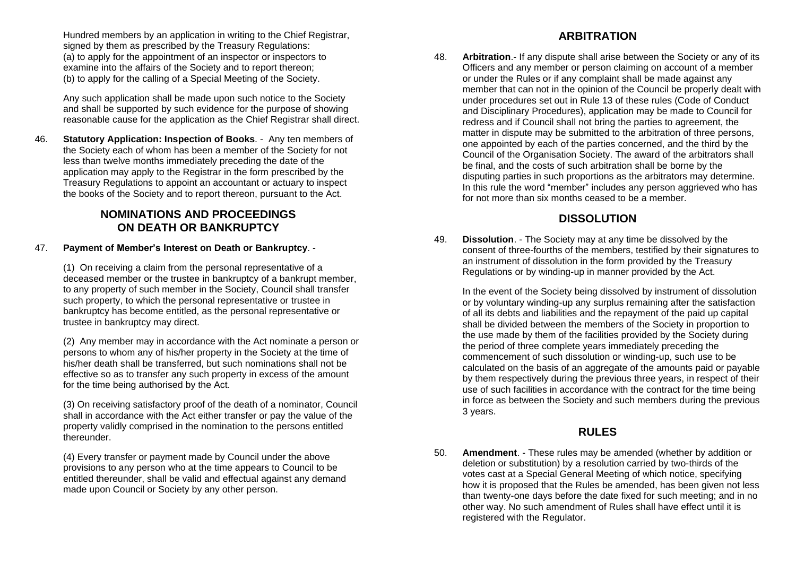Hundred members by an application in writing to the Chief Registrar, signed by them as prescribed by the Treasury Regulations: (a) to apply for the appointment of an inspector or inspectors to examine into the affairs of the Society and to report thereon; (b) to apply for the calling of a Special Meeting of the Society.

Any such application shall be made upon such notice to the Society and shall be supported by such evidence for the purpose of showing reasonable cause for the application as the Chief Registrar shall direct.

46. **Statutory Application: Inspection of Books**. - Any ten members of the Society each of whom has been a member of the Society for not less than twelve months immediately preceding the date of the application may apply to the Registrar in the form prescribed by the Treasury Regulations to appoint an accountant or actuary to inspect the books of the Society and to report thereon, pursuant to the Act.

### **NOMINATIONS AND PROCEEDINGS ON DEATH OR BANKRUPTCY**

47. **Payment of Member's Interest on Death or Bankruptcy**. -

(1) On receiving a claim from the personal representative of a deceased member or the trustee in bankruptcy of a bankrupt member, to any property of such member in the Society, Council shall transfer such property, to which the personal representative or trustee in bankruptcy has become entitled, as the personal representative or trustee in bankruptcy may direct.

(2) Any member may in accordance with the Act nominate a person or persons to whom any of his/her property in the Society at the time of his/her death shall be transferred, but such nominations shall not be effective so as to transfer any such property in excess of the amount for the time being authorised by the Act.

(3) On receiving satisfactory proof of the death of a nominator, Council shall in accordance with the Act either transfer or pay the value of the property validly comprised in the nomination to the persons entitled thereunder.

(4) Every transfer or payment made by Council under the above provisions to any person who at the time appears to Council to be entitled thereunder, shall be valid and effectual against any demand made upon Council or Society by any other person.

## **ARBITRATION**

48. **Arbitration**.- If any dispute shall arise between the Society or any of its Officers and any member or person claiming on account of a member or under the Rules or if any complaint shall be made against any member that can not in the opinion of the Council be properly dealt with under procedures set out in Rule 13 of these rules (Code of Conduct and Disciplinary Procedures), application may be made to Council for redress and if Council shall not bring the parties to agreement, the matter in dispute may be submitted to the arbitration of three persons, one appointed by each of the parties concerned, and the third by the Council of the Organisation Society. The award of the arbitrators shall be final, and the costs of such arbitration shall be borne by the disputing parties in such proportions as the arbitrators may determine. In this rule the word "member" includes any person aggrieved who has for not more than six months ceased to be a member.

## **DISSOLUTION**

49. **Dissolution**. - The Society may at any time be dissolved by the consent of three-fourths of the members, testified by their signatures to an instrument of dissolution in the form provided by the Treasury Regulations or by winding-up in manner provided by the Act.

In the event of the Society being dissolved by instrument of dissolution or by voluntary winding-up any surplus remaining after the satisfaction of all its debts and liabilities and the repayment of the paid up capital shall be divided between the members of the Society in proportion to the use made by them of the facilities provided by the Society during the period of three complete years immediately preceding the commencement of such dissolution or winding-up, such use to be calculated on the basis of an aggregate of the amounts paid or payable by them respectively during the previous three years, in respect of their use of such facilities in accordance with the contract for the time being in force as between the Society and such members during the previous 3 years.

## **RULES**

50. **Amendment**. - These rules may be amended (whether by addition or deletion or substitution) by a resolution carried by two-thirds of the votes cast at a Special General Meeting of which notice, specifying how it is proposed that the Rules be amended, has been given not less than twenty-one days before the date fixed for such meeting; and in no other way. No such amendment of Rules shall have effect until it is registered with the Regulator.